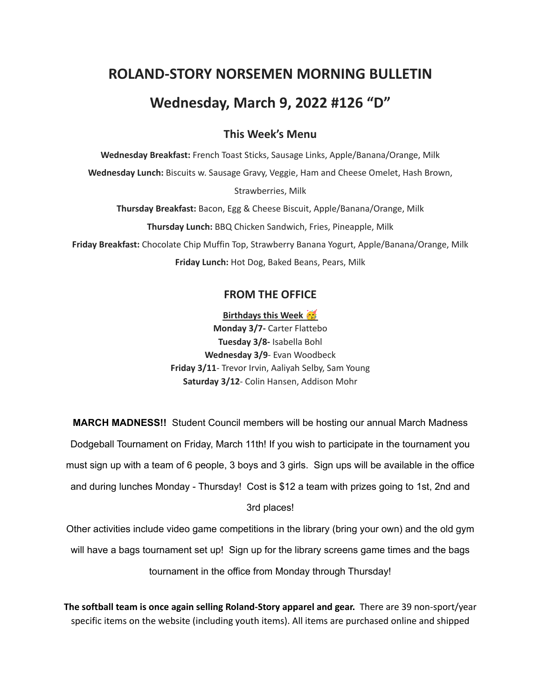# **ROLAND-STORY NORSEMEN MORNING BULLETIN Wednesday, March 9, 2022 #126 "D"**

#### **This Week's Menu**

**Wednesday Breakfast:** French Toast Sticks, Sausage Links, Apple/Banana/Orange, Milk **Wednesday Lunch:** Biscuits w. Sausage Gravy, Veggie, Ham and Cheese Omelet, Hash Brown, Strawberries, Milk **Thursday Breakfast:** Bacon, Egg & Cheese Biscuit, Apple/Banana/Orange, Milk **Thursday Lunch:** BBQ Chicken Sandwich, Fries, Pineapple, Milk

**Friday Breakfast:** Chocolate Chip Muffin Top, Strawberry Banana Yogurt, Apple/Banana/Orange, Milk **Friday Lunch:** Hot Dog, Baked Beans, Pears, Milk

#### **FROM THE OFFICE**

**Birthdays this Week Monday 3/7-** Carter Flattebo **Tuesday 3/8-** Isabella Bohl **Wednesday 3/9**- Evan Woodbeck **Friday 3/11**- Trevor Irvin, Aaliyah Selby, Sam Young **Saturday 3/12**- Colin Hansen, Addison Mohr

**MARCH MADNESS!!** Student Council members will be hosting our annual March Madness Dodgeball Tournament on Friday, March 11th! If you wish to participate in the tournament you must sign up with a team of 6 people, 3 boys and 3 girls. Sign ups will be available in the office and during lunches Monday - Thursday! Cost is \$12 a team with prizes going to 1st, 2nd and 3rd places!

Other activities include video game competitions in the library (bring your own) and the old gym will have a bags tournament set up! Sign up for the library screens game times and the bags tournament in the office from Monday through Thursday!

**The softball team is once again selling Roland-Story apparel and gear.** There are 39 non-sport/year specific items on the website (including youth items). All items are purchased online and shipped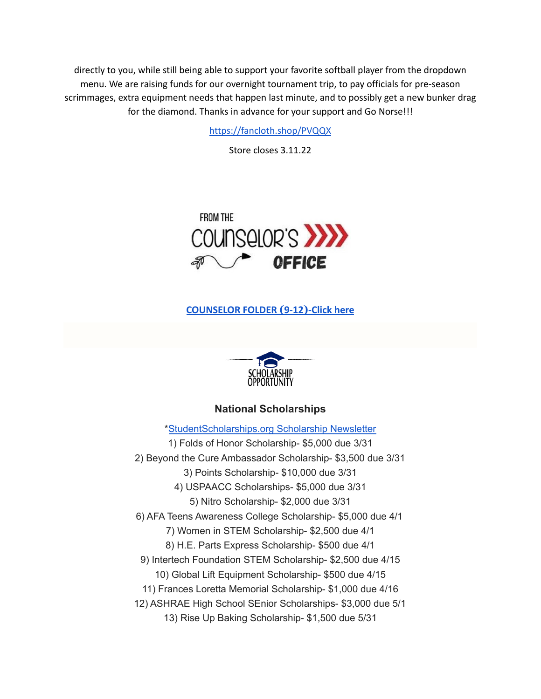directly to you, while still being able to support your favorite softball player from the dropdown menu. We are raising funds for our overnight tournament trip, to pay officials for pre-season scrimmages, extra equipment needs that happen last minute, and to possibly get a new bunker drag for the diamond. Thanks in advance for your support and Go Norse!!!

<https://fancloth.shop/PVQQX>

Store closes 3.11.22



#### **[COUNSELOR FOLDER](https://docs.google.com/document/d/1vmwczNPbDzXe9vFaG5LJMQ7NYDv-i4oQJHybqA65TUc/edit?usp=sharing) (9-12)-Click here**



#### **National Scholarships**

\*[StudentScholarships.org](https://drive.google.com/file/d/1aKuYCxaIenxt8B4T0eqnsOyNXu4NmKys/view?usp=sharing) Scholarship Newsletter 1) Folds of Honor Scholarship- \$5,000 due 3/31 2) Beyond the Cure Ambassador Scholarship- \$3,500 due 3/31 3) Points Scholarship- \$10,000 due 3/31 4) USPAACC Scholarships- \$5,000 due 3/31 5) Nitro Scholarship- \$2,000 due 3/31 6) AFA Teens Awareness College Scholarship- \$5,000 due 4/1 7) Women in STEM Scholarship- \$2,500 due 4/1 8) H.E. Parts Express Scholarship- \$500 due 4/1 9) Intertech Foundation STEM Scholarship- \$2,500 due 4/15 10) Global Lift Equipment Scholarship- \$500 due 4/15 11) Frances Loretta Memorial Scholarship- \$1,000 due 4/16 12) ASHRAE High School SEnior Scholarships- \$3,000 due 5/1 13) Rise Up Baking Scholarship- \$1,500 due 5/31